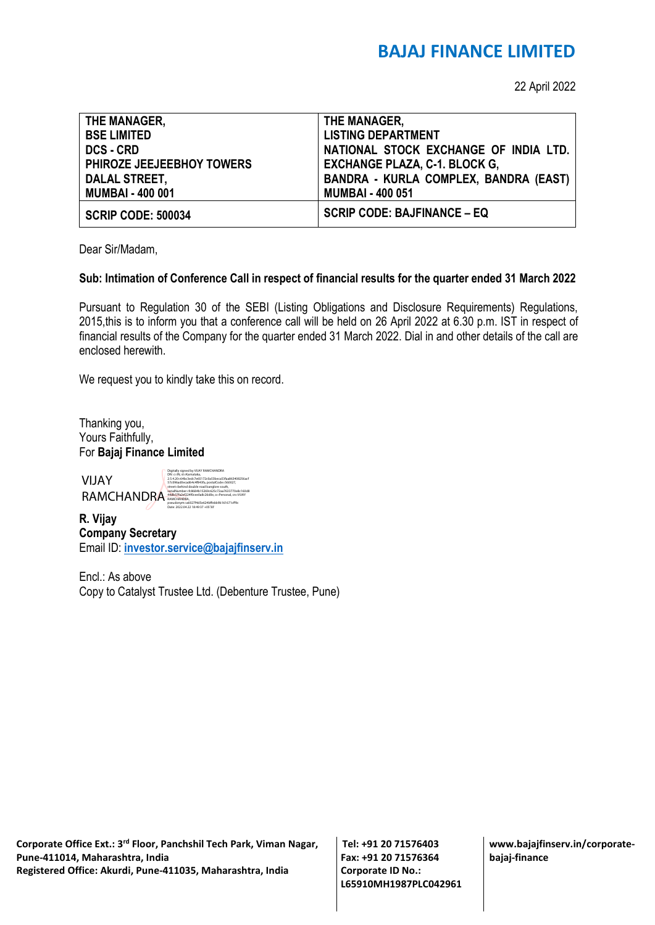## **BAJAJ FINANCE LIMITED**

22 April 2022

| THE MANAGER,                     | THE MANAGER,                                 |
|----------------------------------|----------------------------------------------|
| <b>BSE LIMITED</b>               | <b>LISTING DEPARTMENT</b>                    |
| <b>DCS - CRD</b>                 | NATIONAL STOCK EXCHANGE OF INDIA LTD.        |
| <b>PHIROZE JEEJEEBHOY TOWERS</b> | <b>EXCHANGE PLAZA, C-1. BLOCK G,</b>         |
| <b>DALAL STREET,</b>             | <b>BANDRA - KURLA COMPLEX, BANDRA (EAST)</b> |
| <b>MUMBAI - 400 001</b>          | <b>MUMBAI - 400 051</b>                      |
| <b>SCRIP CODE: 500034</b>        | <b>SCRIP CODE: BAJFINANCE - EQ</b>           |

Dear Sir/Madam,

#### **Sub: Intimation of Conference Call in respect of financial results for the quarter ended 31 March 2022**

Pursuant to Regulation 30 of the SEBI (Listing Obligations and Disclosure Requirements) Regulations, 2015,this is to inform you that a conference call will be held on 26 April 2022 at 6.30 p.m. IST in respect of financial results of the Company for the quarter ended 31 March 2022. Dial in and other details of the call are enclosed herewith.

We request you to kindly take this on record.

Thanking you, Yours Faithfully, For **Bajaj Finance Limited**

VIJAY



**R. Vijay Company Secretary** Email ID: **[investor.service@bajajfinserv.in](mailto:investor.service@bajajfinserv.in)**

Encl.: As above Copy to Catalyst Trustee Ltd. (Debenture Trustee, Pune)

**Corporate Office Ext.: 3rd Floor, Panchshil Tech Park, Viman Nagar, Pune-411014, Maharashtra, India Registered Office: Akurdi, Pune-411035, Maharashtra, India** 

**Tel: +91 20 71576403 Fax: +91 20 71576364 Corporate ID No.: L65910MH1987PLC042961** **www.bajajfinserv.in/corporatebajaj-finance**